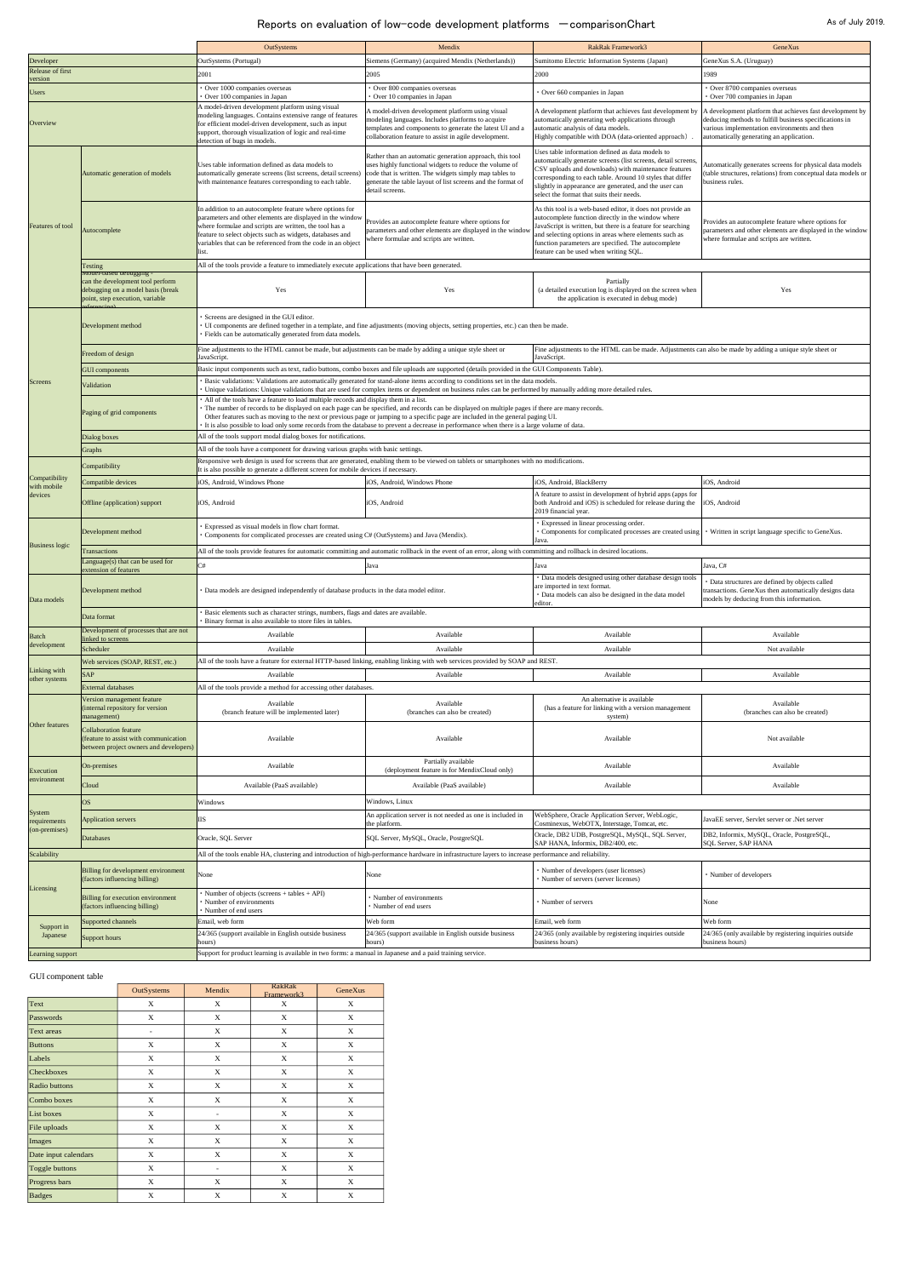|                               |                                                                                                                                     | OutSystems                                                                                                                                                                                                                                                                                                                                                                                                                                                                                                                | Mendix                                                                                                                                                                                                                                                        | <b>RakRak Framework3</b>                                                                                                                                                                                                                                                                                                                      | GeneXus                                                                                                                                                                                                        |  |  |  |
|-------------------------------|-------------------------------------------------------------------------------------------------------------------------------------|---------------------------------------------------------------------------------------------------------------------------------------------------------------------------------------------------------------------------------------------------------------------------------------------------------------------------------------------------------------------------------------------------------------------------------------------------------------------------------------------------------------------------|---------------------------------------------------------------------------------------------------------------------------------------------------------------------------------------------------------------------------------------------------------------|-----------------------------------------------------------------------------------------------------------------------------------------------------------------------------------------------------------------------------------------------------------------------------------------------------------------------------------------------|----------------------------------------------------------------------------------------------------------------------------------------------------------------------------------------------------------------|--|--|--|
| Developer                     |                                                                                                                                     | OutSystems (Portugal)                                                                                                                                                                                                                                                                                                                                                                                                                                                                                                     | Siemens (Germany) (acquired Mendix (Netherlands))                                                                                                                                                                                                             | Sumitomo Electric Information Systems (Japan)                                                                                                                                                                                                                                                                                                 | GeneXus S.A. (Uruguay)                                                                                                                                                                                         |  |  |  |
| Release of first<br>version   |                                                                                                                                     | 2001                                                                                                                                                                                                                                                                                                                                                                                                                                                                                                                      | 2005                                                                                                                                                                                                                                                          | 2000                                                                                                                                                                                                                                                                                                                                          | 1989                                                                                                                                                                                                           |  |  |  |
| <b>Users</b>                  |                                                                                                                                     | Over 1000 companies overseas<br>Over 100 companies in Japan                                                                                                                                                                                                                                                                                                                                                                                                                                                               | Over 800 companies overseas<br>Over 10 companies in Japan                                                                                                                                                                                                     | Over 660 companies in Japan                                                                                                                                                                                                                                                                                                                   | Over 8700 companies overseas<br>Over 700 companies in Japan                                                                                                                                                    |  |  |  |
| Overview                      |                                                                                                                                     | A model-driven development platform using visual<br>modeling languages. Contains extensive range of features<br>for efficient model-driven development, such as input<br>support, thorough visualization of logic and real-time<br>detection of bugs in models.                                                                                                                                                                                                                                                           | A model-driven development platform using visual<br>modeling languages. Includes platforms to acquire<br>templates and components to generate the latest UI and a<br>collaboration feature to assist in agile development.                                    | A development platform that achieves fast development by<br>automatically generating web applications through<br>automatic analysis of data models.<br>Highly compatible with DOA (data-oriented approach)                                                                                                                                    | A development platform that achieves fast development by<br>deducing methods to fulfill business specifications in<br>various implementation environments and then<br>automatically generating an application. |  |  |  |
| Features of tool              | Automatic generation of models                                                                                                      | Uses table information defined as data models to<br>automatically generate screens (list screens, detail screens<br>with maintenance features corresponding to each table.                                                                                                                                                                                                                                                                                                                                                | Rather than an automatic generation approach, this tool<br>uses highly functional widgets to reduce the volume of<br>code that is written. The widgets simply map tables to<br>generate the table layout of list screens and the format of<br>detail screens. | Uses table information defined as data models to<br>automatically generate screens (list screens, detail screens,<br>CSV uploads and downloads) with maintenance features<br>corresponding to each table. Around 10 styles that differ<br>slightly in appearance are generated, and the user can<br>select the format that suits their needs. | Automatically generates screens for physical data models<br>(table structures, relations) from conceptual data models or<br>business rules.                                                                    |  |  |  |
|                               | Autocomplete                                                                                                                        | In addition to an autocomplete feature where options for<br>parameters and other elements are displayed in the window<br>where formulae and scripts are written, the tool has a<br>feature to select objects such as widgets, databases and<br>variables that can be referenced from the code in an object<br>list.                                                                                                                                                                                                       | Provides an autocomplete feature where options for<br>parameters and other elements are displayed in the window<br>where formulae and scripts are written.                                                                                                    | As this tool is a web-based editor, it does not provide an<br>autocomplete function directly in the window where<br>JavaScript is written, but there is a feature for searching<br>and selecting options in areas where elements such as<br>function parameters are specified. The autocomplete<br>feature can be used when writing SQL.      | Provides an autocomplete feature where options for<br>parameters and other elements are displayed in the window<br>where formulae and scripts are written.                                                     |  |  |  |
|                               | Testing                                                                                                                             | All of the tools provide a feature to immediately execute applications that have been generated.                                                                                                                                                                                                                                                                                                                                                                                                                          |                                                                                                                                                                                                                                                               |                                                                                                                                                                                                                                                                                                                                               |                                                                                                                                                                                                                |  |  |  |
|                               | Model-based debugging -<br>can the development tool perform<br>debugging on a model basis (break<br>point, step execution, variable | Yes                                                                                                                                                                                                                                                                                                                                                                                                                                                                                                                       | Yes                                                                                                                                                                                                                                                           | Partially<br>(a detailed execution log is displayed on the screen when<br>the application is executed in debug mode)                                                                                                                                                                                                                          | Yes                                                                                                                                                                                                            |  |  |  |
|                               | Development method                                                                                                                  | Screens are designed in the GUI editor.<br>· UI components are defined together in a template, and fine adjustments (moving objects, setting properties, etc.) can then be made.<br>· Fields can be automatically generated from data models.                                                                                                                                                                                                                                                                             |                                                                                                                                                                                                                                                               |                                                                                                                                                                                                                                                                                                                                               |                                                                                                                                                                                                                |  |  |  |
|                               | Freedom of design                                                                                                                   | Fine adjustments to the HTML cannot be made, but adjustments can be made by adding a unique style sheet or                                                                                                                                                                                                                                                                                                                                                                                                                |                                                                                                                                                                                                                                                               | Fine adjustments to the HTML can be made. Adjustments can also be made by adding a unique style sheet or                                                                                                                                                                                                                                      |                                                                                                                                                                                                                |  |  |  |
|                               | <b>GUI</b> components                                                                                                               | JavaScript.<br>JavaScript.                                                                                                                                                                                                                                                                                                                                                                                                                                                                                                |                                                                                                                                                                                                                                                               |                                                                                                                                                                                                                                                                                                                                               |                                                                                                                                                                                                                |  |  |  |
| Screens                       |                                                                                                                                     | Basic input components such as text, radio buttons, combo boxes and file uploads are supported (details provided in the GUI Components Table).<br>Basic validations: Validations are automatically generated for stand-alone items according to conditions set in the data models.                                                                                                                                                                                                                                        |                                                                                                                                                                                                                                                               |                                                                                                                                                                                                                                                                                                                                               |                                                                                                                                                                                                                |  |  |  |
|                               | Validation                                                                                                                          | · Unique validations: Unique validations that are used for complex items or dependent on business rules can be performed by manually adding more detailed rules.                                                                                                                                                                                                                                                                                                                                                          |                                                                                                                                                                                                                                                               |                                                                                                                                                                                                                                                                                                                                               |                                                                                                                                                                                                                |  |  |  |
|                               | Paging of grid components                                                                                                           | All of the tools have a feature to load multiple records and display them in a list.<br>· The number of records to be displayed on each page can be specified, and records can be displayed on multiple pages if there are many records.<br>Other features such as moving to the next or previous page or jumping to a specific page are included in the general paging UI.<br>It is also possible to load only some records from the database to prevent a decrease in performance when there is a large volume of data. |                                                                                                                                                                                                                                                               |                                                                                                                                                                                                                                                                                                                                               |                                                                                                                                                                                                                |  |  |  |
|                               | Dialog boxes                                                                                                                        | All of the tools support modal dialog boxes for notifications.                                                                                                                                                                                                                                                                                                                                                                                                                                                            |                                                                                                                                                                                                                                                               |                                                                                                                                                                                                                                                                                                                                               |                                                                                                                                                                                                                |  |  |  |
|                               | Graphs                                                                                                                              | All of the tools have a component for drawing various graphs with basic settings.<br>Responsive web design is used for screens that are generated, enabling them to be viewed on tablets or smartphones with no modifications.                                                                                                                                                                                                                                                                                            |                                                                                                                                                                                                                                                               |                                                                                                                                                                                                                                                                                                                                               |                                                                                                                                                                                                                |  |  |  |
| Compatibility                 | Compatibility                                                                                                                       | It is also possible to generate a different screen for mobile devices if necessary.                                                                                                                                                                                                                                                                                                                                                                                                                                       |                                                                                                                                                                                                                                                               |                                                                                                                                                                                                                                                                                                                                               |                                                                                                                                                                                                                |  |  |  |
| with mobile                   | Compatible devices                                                                                                                  | iOS, Android, Windows Phone                                                                                                                                                                                                                                                                                                                                                                                                                                                                                               | iOS, Android, Windows Phone                                                                                                                                                                                                                                   | iOS, Android, BlackBerry                                                                                                                                                                                                                                                                                                                      | iOS, Android                                                                                                                                                                                                   |  |  |  |
| devices                       | Offline (application) support                                                                                                       | iOS, Android                                                                                                                                                                                                                                                                                                                                                                                                                                                                                                              | iOS, Android                                                                                                                                                                                                                                                  | A feature to assist in development of hybrid apps (apps for<br>both Android and iOS) is scheduled for release during the<br>2019 financial year.                                                                                                                                                                                              | iOS, Android                                                                                                                                                                                                   |  |  |  |
| <b>Business logic</b>         | Development method                                                                                                                  | Expressed as visual models in flow chart format.<br>Components for complicated processes are created using C# (OutSystems) and Java (Mendix).                                                                                                                                                                                                                                                                                                                                                                             |                                                                                                                                                                                                                                                               | Expressed in linear processing order.<br>Components for complicated processes are created using<br>· Written in script language specific to GeneXus.<br>Java                                                                                                                                                                                  |                                                                                                                                                                                                                |  |  |  |
|                               | <b>Transactions</b>                                                                                                                 | All of the tools provide features for automatic committing and automatic rollback in the event of an error, along with committing and rollback in desired locations.                                                                                                                                                                                                                                                                                                                                                      |                                                                                                                                                                                                                                                               |                                                                                                                                                                                                                                                                                                                                               |                                                                                                                                                                                                                |  |  |  |
|                               | Language(s) that can be used for<br>extension of features                                                                           | C#                                                                                                                                                                                                                                                                                                                                                                                                                                                                                                                        | Java                                                                                                                                                                                                                                                          | Java<br>Data models designed using other database design tools                                                                                                                                                                                                                                                                                | Java, C#                                                                                                                                                                                                       |  |  |  |
| Data models                   | Development method                                                                                                                  |                                                                                                                                                                                                                                                                                                                                                                                                                                                                                                                           | · Data models are designed independently of database products in the data model editor.                                                                                                                                                                       |                                                                                                                                                                                                                                                                                                                                               | Data structures are defined by objects called<br>transactions. GeneXus then automatically designs data<br>models by deducing from this information.                                                            |  |  |  |
|                               | Data format                                                                                                                         | Basic elements such as character strings, numbers, flags and dates are available.<br>Binary format is also available to store files in tables.                                                                                                                                                                                                                                                                                                                                                                            |                                                                                                                                                                                                                                                               |                                                                                                                                                                                                                                                                                                                                               |                                                                                                                                                                                                                |  |  |  |
| Batch                         | Development of processes that are not                                                                                               | Available                                                                                                                                                                                                                                                                                                                                                                                                                                                                                                                 | Available                                                                                                                                                                                                                                                     | Available                                                                                                                                                                                                                                                                                                                                     | Available                                                                                                                                                                                                      |  |  |  |
| development                   | linked to screens<br>Scheduler                                                                                                      | Available                                                                                                                                                                                                                                                                                                                                                                                                                                                                                                                 | Available                                                                                                                                                                                                                                                     | Available                                                                                                                                                                                                                                                                                                                                     | Not available                                                                                                                                                                                                  |  |  |  |
|                               | Web services (SOAP, REST, etc.)                                                                                                     | All of the tools have a feature for external HTTP-based linking, enabling linking with web services provided by SOAP and REST.                                                                                                                                                                                                                                                                                                                                                                                            |                                                                                                                                                                                                                                                               |                                                                                                                                                                                                                                                                                                                                               |                                                                                                                                                                                                                |  |  |  |
| Linking with<br>other systems | <b>SAP</b>                                                                                                                          | Available<br>Available<br>Available<br>Available                                                                                                                                                                                                                                                                                                                                                                                                                                                                          |                                                                                                                                                                                                                                                               |                                                                                                                                                                                                                                                                                                                                               |                                                                                                                                                                                                                |  |  |  |
|                               | <b>External databases</b>                                                                                                           | All of the tools provide a method for accessing other databases.                                                                                                                                                                                                                                                                                                                                                                                                                                                          |                                                                                                                                                                                                                                                               |                                                                                                                                                                                                                                                                                                                                               |                                                                                                                                                                                                                |  |  |  |
| Other features                | Version management feature<br>(internal repository for version<br>management)                                                       | Available<br>(branch feature will be implemented later)                                                                                                                                                                                                                                                                                                                                                                                                                                                                   | Available<br>(branches can also be created)                                                                                                                                                                                                                   | An alternative is available<br>(has a feature for linking with a version management<br>system)                                                                                                                                                                                                                                                | Available<br>(branches can also be created)                                                                                                                                                                    |  |  |  |
|                               | <b>Collaboration feature</b><br>(feature to assist with communication<br>between project owners and developers)                     | Available                                                                                                                                                                                                                                                                                                                                                                                                                                                                                                                 | Available                                                                                                                                                                                                                                                     | Available                                                                                                                                                                                                                                                                                                                                     | Not available                                                                                                                                                                                                  |  |  |  |
| Execution<br>environment      | On-premises                                                                                                                         | Available                                                                                                                                                                                                                                                                                                                                                                                                                                                                                                                 | Partially available<br>(deployment feature is for MendixCloud only)                                                                                                                                                                                           | Available                                                                                                                                                                                                                                                                                                                                     | Available                                                                                                                                                                                                      |  |  |  |
|                               | Cloud                                                                                                                               | Available (PaaS available)                                                                                                                                                                                                                                                                                                                                                                                                                                                                                                | Available (PaaS available)                                                                                                                                                                                                                                    | Available                                                                                                                                                                                                                                                                                                                                     | Available                                                                                                                                                                                                      |  |  |  |
|                               | OS.                                                                                                                                 | Windows                                                                                                                                                                                                                                                                                                                                                                                                                                                                                                                   | Windows, Linux                                                                                                                                                                                                                                                |                                                                                                                                                                                                                                                                                                                                               |                                                                                                                                                                                                                |  |  |  |
| System                        | <b>Application servers</b>                                                                                                          | ПS                                                                                                                                                                                                                                                                                                                                                                                                                                                                                                                        | An application server is not needed as one is included in                                                                                                                                                                                                     | WebSphere, Oracle Application Server, WebLogic,                                                                                                                                                                                                                                                                                               | JavaEE server, Servlet server or .Net server                                                                                                                                                                   |  |  |  |
| requirements<br>(on-premises) | <b>Databases</b>                                                                                                                    | Oracle, SQL Server                                                                                                                                                                                                                                                                                                                                                                                                                                                                                                        | the platform.<br>SQL Server, MySQL, Oracle, PostgreSQL                                                                                                                                                                                                        | Cosminexus, WebOTX, Interstage, Tomcat, etc.<br>Oracle, DB2 UDB, PostgreSQL, MySQL, SQL Server,<br>SAP HANA, Informix, DB2/400, etc.                                                                                                                                                                                                          | DB2, Informix, MySQL, Oracle, PostgreSQL,<br><b>SQL Server, SAP HANA</b>                                                                                                                                       |  |  |  |
| Scalability                   |                                                                                                                                     | All of the tools enable HA, clustering and introduction of high-performance hardware in infrastructure layers to increase performance and reliability.                                                                                                                                                                                                                                                                                                                                                                    |                                                                                                                                                                                                                                                               |                                                                                                                                                                                                                                                                                                                                               |                                                                                                                                                                                                                |  |  |  |
| Licensing                     | Billing for development environment<br>(factors influencing billing)                                                                | None                                                                                                                                                                                                                                                                                                                                                                                                                                                                                                                      | None                                                                                                                                                                                                                                                          | · Number of developers (user licenses)<br>Number of servers (server licenses)                                                                                                                                                                                                                                                                 | · Number of developers                                                                                                                                                                                         |  |  |  |
|                               | <b>Billing for execution environment</b><br>(factors influencing billing)                                                           | • Number of objects (screens + tables + API)<br>Number of environments<br>· Number of end users                                                                                                                                                                                                                                                                                                                                                                                                                           | Number of environments<br>Number of end users                                                                                                                                                                                                                 | · Number of servers                                                                                                                                                                                                                                                                                                                           | None                                                                                                                                                                                                           |  |  |  |
| Support in<br>Japanese        | Supported channels                                                                                                                  | Email, web form                                                                                                                                                                                                                                                                                                                                                                                                                                                                                                           | Web form                                                                                                                                                                                                                                                      | Email, web form                                                                                                                                                                                                                                                                                                                               | Web form                                                                                                                                                                                                       |  |  |  |
|                               | Support hours                                                                                                                       | 24/365 (support available in English outside business                                                                                                                                                                                                                                                                                                                                                                                                                                                                     | 24/365 (support available in English outside business                                                                                                                                                                                                         | 24/365 (only available by registering inquiries outside                                                                                                                                                                                                                                                                                       | 24/365 (only available by registering inquiries outside                                                                                                                                                        |  |  |  |
| Learning support              |                                                                                                                                     | hours)<br>Support for product learning is available in two forms: a manual in Japanese and a paid training service.                                                                                                                                                                                                                                                                                                                                                                                                       | hours)                                                                                                                                                                                                                                                        | business hours)                                                                                                                                                                                                                                                                                                                               | business hours)                                                                                                                                                                                                |  |  |  |

## GUI component table

|                      | OutSystems       | Mendix                    | RakRak<br>Framework3 | <b>GeneXus</b>   |
|----------------------|------------------|---------------------------|----------------------|------------------|
| Text                 | X                | X                         | X                    | X                |
| Passwords            | $\mathbf X$      | X                         | $\mathbf X$          | X                |
| <b>Text areas</b>    | -                | X                         | $\mathbf X$          | X                |
| <b>Buttons</b>       | $\mathbf X$      | $\mathbf X$               | $\mathbf X$          | X                |
| Labels               | $\boldsymbol{X}$ | X                         | $\mathbf X$          | X                |
| Checkboxes           | $\boldsymbol{X}$ | X                         | $\mathbf X$          | X                |
| Radio buttons        | $\mathbf X$      | $\mathbf X$               | $\mathbf X$          | $\mathbf X$      |
| Combo boxes          | $\boldsymbol{X}$ | X                         | $\mathbf X$          | $\boldsymbol{X}$ |
| List boxes           | X                | $\overline{\phantom{a}}$  | $\mathbf X$          | X                |
| File uploads         | $\mathbf X$      | X                         | $\mathbf X$          | X                |
| Images               | $\boldsymbol{X}$ | X                         | $\mathbf X$          | X                |
| Date input calendars | X                | $\boldsymbol{\mathrm{X}}$ | $\mathbf X$          | X                |
| Toggle buttons       | $\mathbf X$      |                           | $\mathbf X$          | X                |
| Progress bars        | X                | X                         | $\mathbf X$          | X                |
| <b>Badges</b>        | $\mathbf X$      | $\mathbf X$               | $\mathbf X$          | $\mathbf X$      |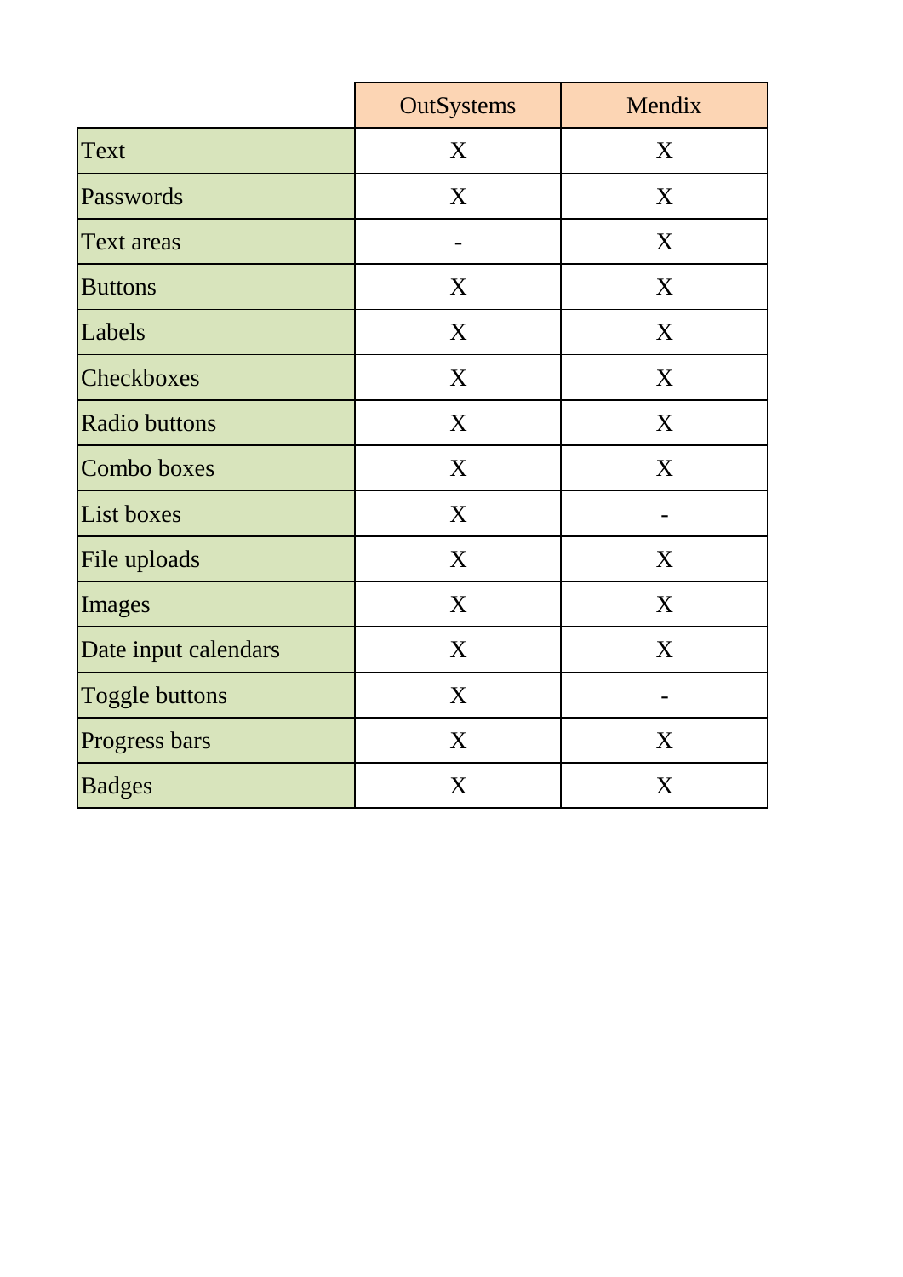|                       | <b>OutSystems</b> | Mendix |
|-----------------------|-------------------|--------|
| <b>Text</b>           | X                 | X      |
| Passwords             | X                 | X      |
| <b>Text areas</b>     |                   | X      |
| <b>Buttons</b>        | X                 | X      |
| Labels                | X                 | X      |
| Checkboxes            | X                 | X      |
| <b>Radio buttons</b>  | X                 | X      |
| Combo boxes           | X                 | X      |
| List boxes            | X                 |        |
| File uploads          | X                 | X      |
| Images                | X                 | X      |
| Date input calendars  | X                 | X      |
| <b>Toggle buttons</b> | X                 |        |
| Progress bars         | X                 | X      |
| <b>Badges</b>         | X                 | X      |